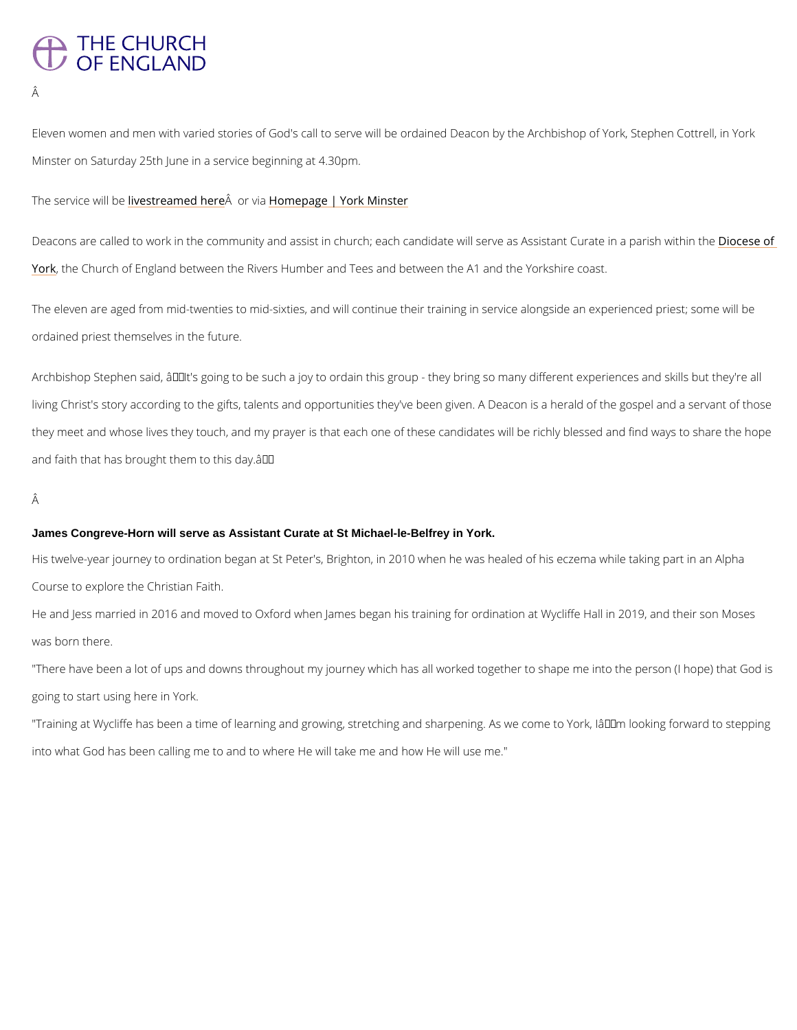# THE CHURCH OF ENGLAND

Â

Eleven women and men with varied stories of God's call to serve will be ordained Deacon by Minster on Saturday 25th June in a service beginning at 4.30pm.

### The service with bree a med A here to bane page | York Minster

Deacons are called to work in the community and assist in church; each candidate wDibsesved [Yor](https://dioceseofyork.org.uk/)kthe Church of England between the Rivers Humber and Tees and between the A1 and the

The eleven are aged from mid-twenties to mid-sixties, and will continue their training in serv ordained priest themselves in the future.

Archbishop Stephen said,  $\hat{a} \in \emptyset$ elt's going to be such a joy to ordain this group - they bring so living Christ's story according to the gifts, talents and opportunities they've been given. A D they meet and whose lives they touch, and my prayer is that each one of these candidates wi and faith that has brought them to this day.  $\hat{a} \in \bullet$ 

# Â

His twelve-year journey to ordination began at St Peter's, Brighton, in 2010 when he was hea Course to explore the Christian Faith.

He and Jess married in 2016 and moved to Oxford when James began his training for ordinati was born there.

"There have been a lot of ups and downs throughout my journey which has all worked togethe going to start using here in York.

"Training at Wycliffe has been a time of learning and growing, stretching and sharpening. As into what God has been calling me to and to where He will take me and how He will use me."

#### James Congreve-Horn will serve as Assistant Curate at St Michael-le-Belfrey in York.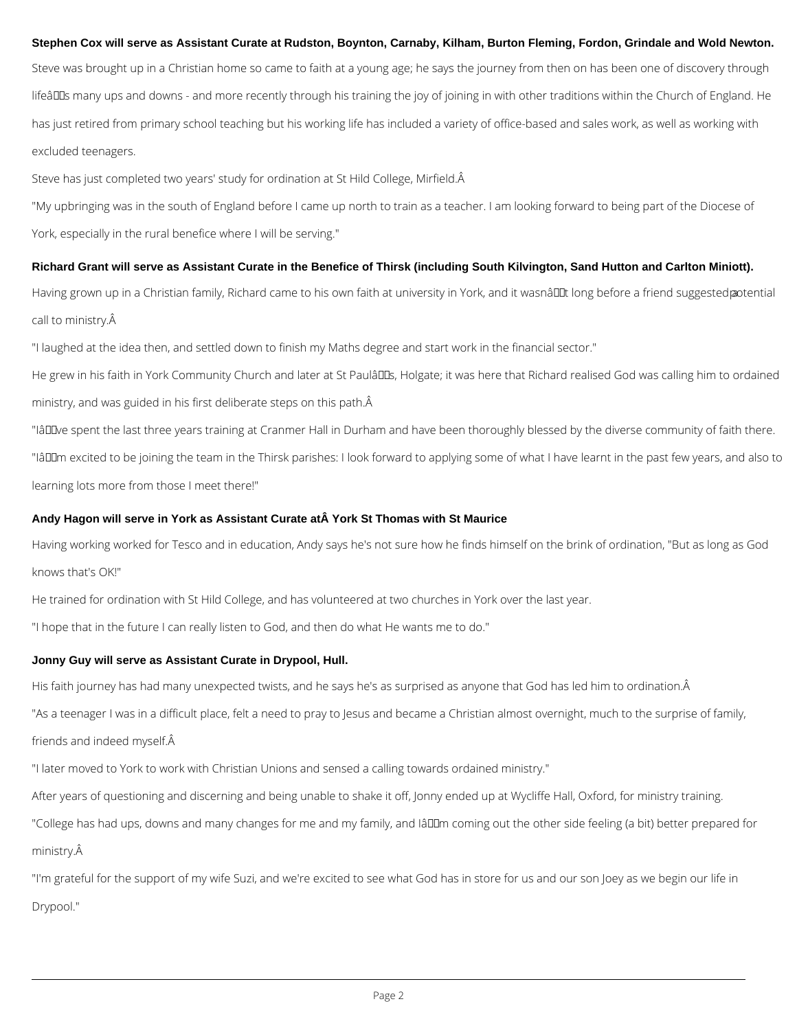### **Stephen Cox will serve as Assistant Curate at Rudston, Boynton, Carnaby, Kilham, Burton Fleming, Fordon, Grindale and Wold Newton.**

Steve was brought up in a Christian home so came to faith at a young age; he says the journey from then on has been one of discovery through lifeâlDs many ups and downs - and more recently through his training the joy of joining in with other traditions within the Church of England. He has just retired from primary school teaching but his working life has included a variety of office-based and sales work, as well as working with excluded teenagers.

Steve has just completed two years' study for ordination at St Hild College, Mirfield.

"My upbringing was in the south of England before I came up north to train as a teacher. I am looking forward to being part of the Diocese of York, especially in the rural benefice where I will be serving."

"IâDDve spent the last three years training at Cranmer Hall in Durham and have been thoroughly blessed by the diverse community of faith there. "IâDDm excited to be joining the team in the Thirsk parishes: I look forward to applying some of what I have learnt in the past few years, and also to learning lots more from those I meet there!"

#### Andy Hagon will serve in York as Assistant Curate at A York St Thomas with St Maurice

#### **Richard Grant will serve as Assistant Curate in the Benefice of Thirsk (including South Kilvington, Sand Hutton and Carlton Miniott).**

Having grown up in a Christian family, Richard came to his own faith at university in York, and it wasnâl Lut long before a friend suggested potential call to ministry. $\hat{A}$ 

"I laughed at the idea then, and settled down to finish my Maths degree and start work in the financial sector."

He grew in his faith in York Community Church and later at St Paulâll Dus, Holgate; it was here that Richard realised God was calling him to ordained ministry, and was guided in his first deliberate steps on this path. A

His faith journey has had many unexpected twists, and he says he's as surprised as anyone that God has led him to ordination. Â "As a teenager I was in a difficult place, felt a need to pray to Jesus and became a Christian almost overnight, much to the surprise of family, friends and indeed myself.

"College has had ups, downs and many changes for me and my family, and IâDDm coming out the other side feeling (a bit) better prepared for ministry.

Having working worked for Tesco and in education, Andy says he's not sure how he finds himself on the brink of ordination, "But as long as God knows that's OK!"

He trained for ordination with St Hild College, and has volunteered at two churches in York over the last year.

"I hope that in the future I can really listen to God, and then do what He wants me to do."

#### **Jonny Guy will serve as Assistant Curate in Drypool, Hull.**

"I later moved to York to work with Christian Unions and sensed a calling towards ordained ministry."

After years of questioning and discerning and being unable to shake it off, Jonny ended up at Wycliffe Hall, Oxford, for ministry training.

"I'm grateful for the support of my wife Suzi, and we're excited to see what God has in store for us and our son Joey as we begin our life in

Drypool."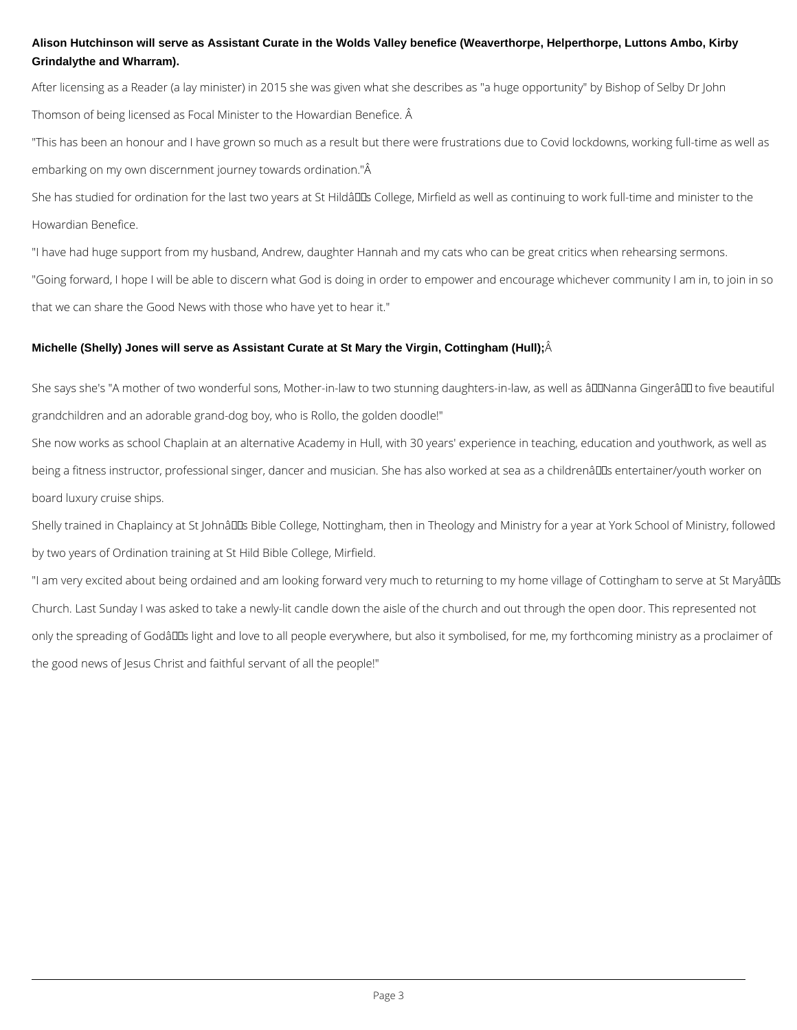# **Alison Hutchinson will serve as Assistant Curate in the Wolds Valley benefice (Weaverthorpe, Helperthorpe, Luttons Ambo, Kirby Grindalythe and Wharram).**

After licensing as a Reader (a lay minister) in 2015 she was given what she describes as "a huge opportunity" by Bishop of Selby Dr John Thomson of being licensed as Focal Minister to the Howardian Benefice. Â

"This has been an honour and I have grown so much as a result but there were frustrations due to Covid lockdowns, working full-time as well as embarking on my own discernment journey towards ordination."Â

She has studied for ordination for the last two years at St Hildâll Ds College, Mirfield as well as continuing to work full-time and minister to the Howardian Benefice.

She says she's "A mother of two wonderful sons, Mother-in-law to two stunning daughters-in-law, as well as âDDNanna GingerâDD to five beautiful grandchildren and an adorable grand-dog boy, who is Rollo, the golden doodle!"

"I have had huge support from my husband, Andrew, daughter Hannah and my cats who can be great critics when rehearsing sermons. "Going forward, I hope I will be able to discern what God is doing in order to empower and encourage whichever community I am in, to join in so that we can share the Good News with those who have yet to hear it."

Shelly trained in Chaplaincy at St Johnâl Ds Bible College, Nottingham, then in Theology and Ministry for a year at York School of Ministry, followed by two years of Ordination training at St Hild Bible College, Mirfield.

# **Michelle (Shelly) Jones will serve as Assistant Curate at St Mary the Virgin, Cottingham (Hull);**

"I am very excited about being ordained and am looking forward very much to returning to my home village of Cottingham to serve at St Maryâll ls Church. Last Sunday I was asked to take a newly-lit candle down the aisle of the church and out through the open door. This represented not only the spreading of Godâll light and love to all people everywhere, but also it symbolised, for me, my forthcoming ministry as a proclaimer of the good news of Jesus Christ and faithful servant of all the people!"

She now works as school Chaplain at an alternative Academy in Hull, with 30 years' experience in teaching, education and youthwork, as well as being a fitness instructor, professional singer, dancer and musician. She has also worked at sea as a childrenâ DDs entertainer/youth worker on board luxury cruise ships.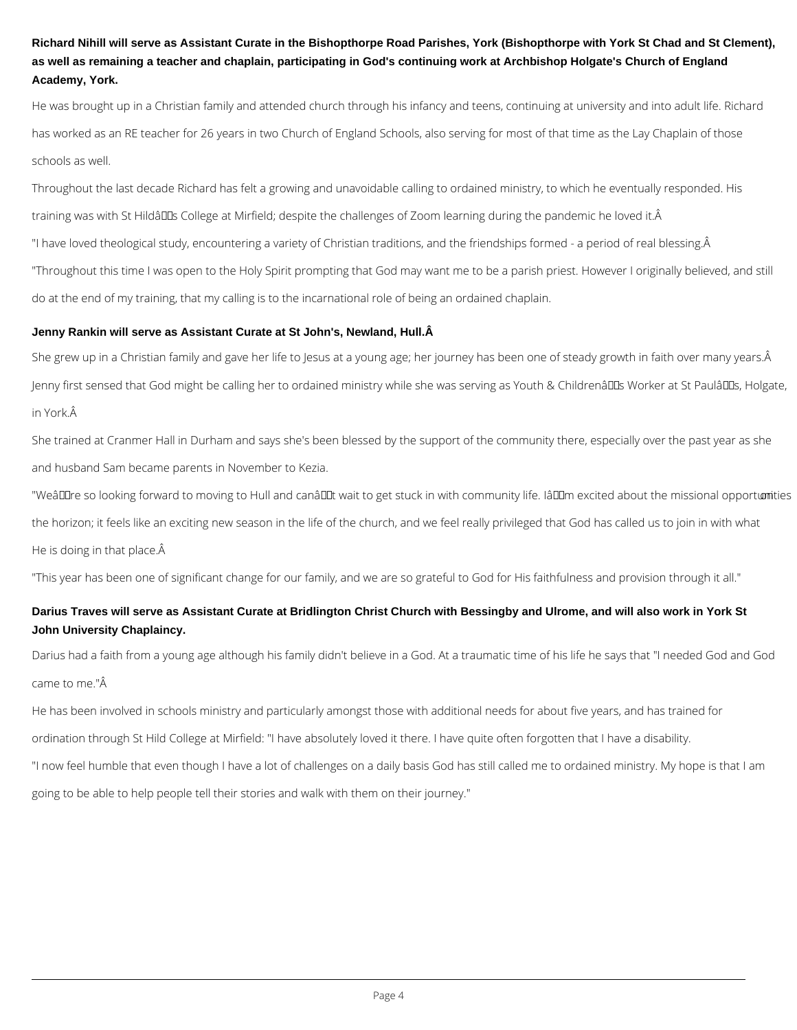# **Richard Nihill will serve as Assistant Curate in the Bishopthorpe Road Parishes, York (Bishopthorpe with York St Chad and St Clement), as well as remaining a teacher and chaplain, participating in God's continuing work at Archbishop Holgate's Church of England Academy, York.**

He was brought up in a Christian family and attended church through his infancy and teens, continuing at university and into adult life. Richard has worked as an RE teacher for 26 years in two Church of England Schools, also serving for most of that time as the Lay Chaplain of those schools as well.

She grew up in a Christian family and gave her life to Jesus at a young age; her journey has been one of steady growth in faith over many years. Â Jenny first sensed that God might be calling her to ordained ministry while she was serving as Youth & Childrenâll Ds Worker at St Paulâl Ds, Holgate, in York.

Throughout the last decade Richard has felt a growing and unavoidable calling to ordained ministry, to which he eventually responded. His training was with St Hildâuls College at Mirfield; despite the challenges of Zoom learning during the pandemic he loved it.Â "I have loved theological study, encountering a variety of Christian traditions, and the friendships formed - a period of real blessing. A "Throughout this time I was open to the Holy Spirit prompting that God may want me to be a parish priest. However I originally believed, and still do at the end of my training, that my calling is to the incarnational role of being an ordained chaplain.

### **Jenny Rankin will serve as Assistant Curate at St John's, Newland, Hull.**

She trained at Cranmer Hall in Durham and says she's been blessed by the support of the community there, especially over the past year as she and husband Sam became parents in November to Kezia.

"Weâll Line so looking forward to moving to Hull and canâl Lit wait to get stuck in with community life. Iâl Limexcited about the missional opportumities the horizon; it feels like an exciting new season in the life of the church, and we feel really privileged that God has called us to join in with what He is doing in that place. $\hat{A}$ 

"This year has been one of significant change for our family, and we are so grateful to God for His faithfulness and provision through it all."

# **Darius Traves will serve as Assistant Curate at Bridlington Christ Church with Bessingby and Ulrome, and will also work in York St John University Chaplaincy.**

Darius had a faith from a young age although his family didn't believe in a God. At a traumatic time of his life he says that "I needed God and God came to me."Â

He has been involved in schools ministry and particularly amongst those with additional needs for about five years, and has trained for ordination through St Hild College at Mirfield: "I have absolutely loved it there. I have quite often forgotten that I have a disability.

"I now feel humble that even though I have a lot of challenges on a daily basis God has still called me to ordained ministry. My hope is that I am

going to be able to help people tell their stories and walk with them on their journey."